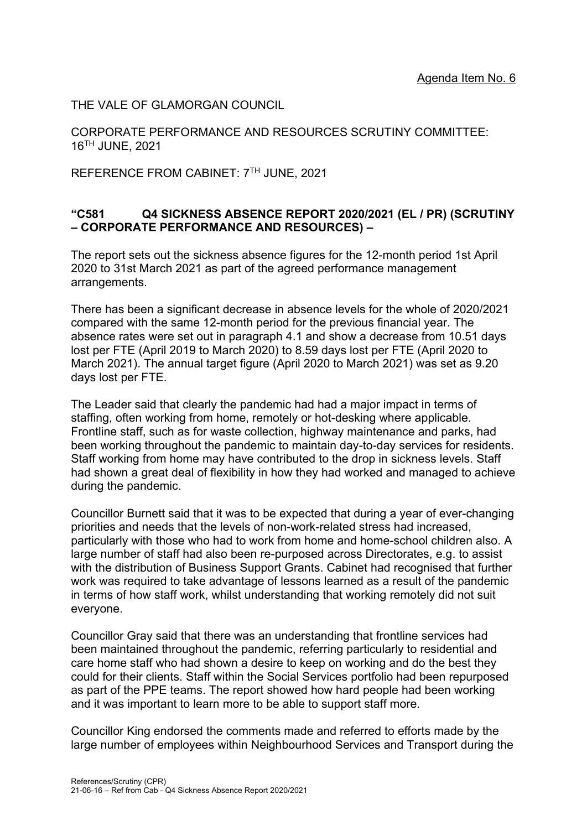THE VALE OF GLAMORGAN COUNCIL

CORPORATE PERFORMANCE AND RESOURCES SCRUTINY COMMITTEE: 16TH JUNE, 2021

REFERENCE FROM CABINET: 7TH JUNE, 2021

## **"C581 Q4 SICKNESS ABSENCE REPORT 2020/2021 (EL / PR) (SCRUTINY – CORPORATE PERFORMANCE AND RESOURCES) –**

The report sets out the sickness absence figures for the 12-month period 1st April 2020 to 31st March 2021 as part of the agreed performance management arrangements.

There has been a significant decrease in absence levels for the whole of 2020/2021 compared with the same 12-month period for the previous financial year. The absence rates were set out in paragraph 4.1 and show a decrease from 10.51 days lost per FTE (April 2019 to March 2020) to 8.59 days lost per FTE (April 2020 to March 2021). The annual target figure (April 2020 to March 2021) was set as 9.20 days lost per FTE.

The Leader said that clearly the pandemic had had a major impact in terms of staffing, often working from home, remotely or hot-desking where applicable. Frontline staff, such as for waste collection, highway maintenance and parks, had been working throughout the pandemic to maintain day-to-day services for residents. Staff working from home may have contributed to the drop in sickness levels. Staff had shown a great deal of flexibility in how they had worked and managed to achieve during the pandemic.

Councillor Burnett said that it was to be expected that during a year of ever-changing priorities and needs that the levels of non-work-related stress had increased, particularly with those who had to work from home and home-school children also. A large number of staff had also been re-purposed across Directorates, e.g. to assist with the distribution of Business Support Grants. Cabinet had recognised that further work was required to take advantage of lessons learned as a result of the pandemic in terms of how staff work, whilst understanding that working remotely did not suit everyone.

Councillor Gray said that there was an understanding that frontline services had been maintained throughout the pandemic, referring particularly to residential and care home staff who had shown a desire to keep on working and do the best they could for their clients. Staff within the Social Services portfolio had been repurposed as part of the PPE teams. The report showed how hard people had been working and it was important to learn more to be able to support staff more.

Councillor King endorsed the comments made and referred to efforts made by the large number of employees within Neighbourhood Services and Transport during the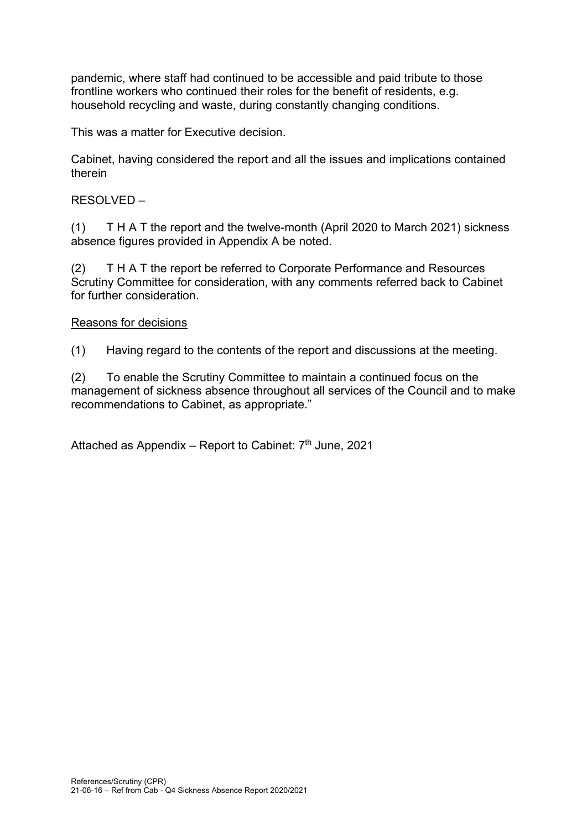pandemic, where staff had continued to be accessible and paid tribute to those frontline workers who continued their roles for the benefit of residents, e.g. household recycling and waste, during constantly changing conditions.

This was a matter for Executive decision.

Cabinet, having considered the report and all the issues and implications contained therein

RESOLVED –

(1) T H A T the report and the twelve-month (April 2020 to March 2021) sickness absence figures provided in Appendix A be noted.

(2) T H A T the report be referred to Corporate Performance and Resources Scrutiny Committee for consideration, with any comments referred back to Cabinet for further consideration.

## Reasons for decisions

(1) Having regard to the contents of the report and discussions at the meeting.

(2) To enable the Scrutiny Committee to maintain a continued focus on the management of sickness absence throughout all services of the Council and to make recommendations to Cabinet, as appropriate."

Attached as Appendix – Report to Cabinet:  $7<sup>th</sup>$  June, 2021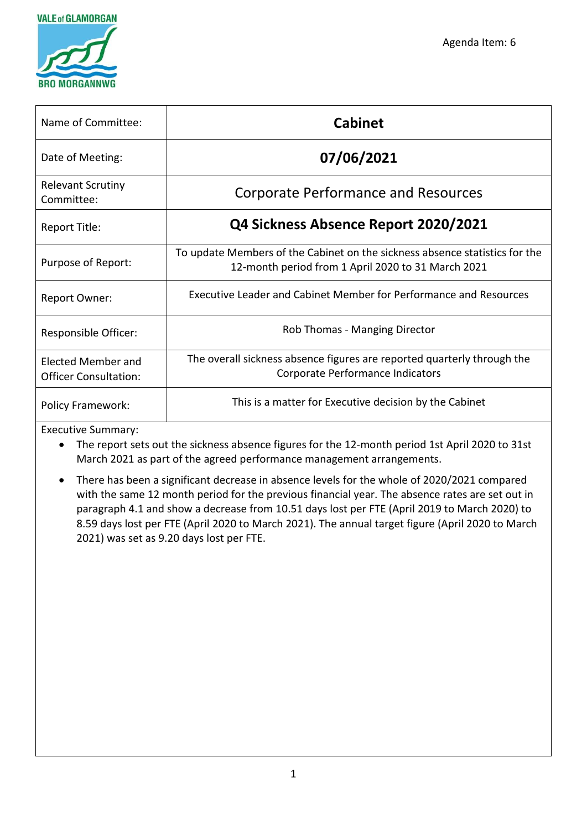



| Name of Committee:                                        | <b>Cabinet</b>                                                                                                                    |
|-----------------------------------------------------------|-----------------------------------------------------------------------------------------------------------------------------------|
| Date of Meeting:                                          | 07/06/2021                                                                                                                        |
| <b>Relevant Scrutiny</b><br>Committee:                    | <b>Corporate Performance and Resources</b>                                                                                        |
| Report Title:                                             | Q4 Sickness Absence Report 2020/2021                                                                                              |
| Purpose of Report:                                        | To update Members of the Cabinet on the sickness absence statistics for the<br>12-month period from 1 April 2020 to 31 March 2021 |
| <b>Report Owner:</b>                                      | Executive Leader and Cabinet Member for Performance and Resources                                                                 |
| Responsible Officer:                                      | Rob Thomas - Manging Director                                                                                                     |
| <b>Elected Member and</b><br><b>Officer Consultation:</b> | The overall sickness absence figures are reported quarterly through the<br>Corporate Performance Indicators                       |
| <b>Policy Framework:</b>                                  | This is a matter for Executive decision by the Cabinet                                                                            |

Executive Summary:

- The report sets out the sickness absence figures for the 12-month period 1st April 2020 to 31st March 2021 as part of the agreed performance management arrangements.
- There has been a significant decrease in absence levels for the whole of 2020/2021 compared with the same 12 month period for the previous financial year. The absence rates are set out in paragraph 4.1 and show a decrease from 10.51 days lost per FTE (April 2019 to March 2020) to 8.59 days lost per FTE (April 2020 to March 2021). The annual target figure (April 2020 to March 2021) was set as 9.20 days lost per FTE.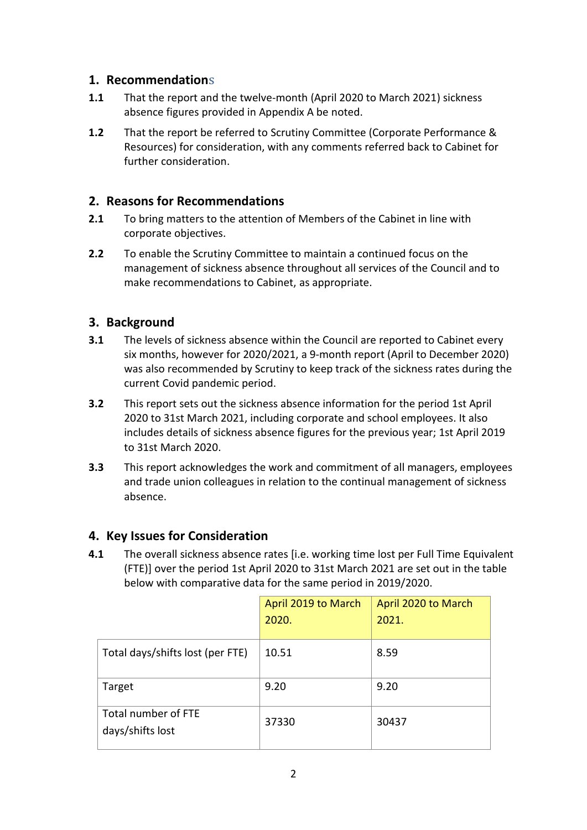# **1. Recommendation**s

- **1.1** That the report and the twelve-month (April 2020 to March 2021) sickness absence figures provided in Appendix A be noted.
- **1.2** That the report be referred to Scrutiny Committee (Corporate Performance & Resources) for consideration, with any comments referred back to Cabinet for further consideration.

# **2. Reasons for Recommendations**

- **2.1** To bring matters to the attention of Members of the Cabinet in line with corporate objectives.
- **2.2** To enable the Scrutiny Committee to maintain a continued focus on the management of sickness absence throughout all services of the Council and to make recommendations to Cabinet, as appropriate.

# **3. Background**

- **3.1** The levels of sickness absence within the Council are reported to Cabinet every six months, however for 2020/2021, a 9-month report (April to December 2020) was also recommended by Scrutiny to keep track of the sickness rates during the current Covid pandemic period.
- **3.2** This report sets out the sickness absence information for the period 1st April 2020 to 31st March 2021, including corporate and school employees. It also includes details of sickness absence figures for the previous year; 1st April 2019 to 31st March 2020.
- **3.3** This report acknowledges the work and commitment of all managers, employees and trade union colleagues in relation to the continual management of sickness absence.

# **4. Key Issues for Consideration**

**4.1** The overall sickness absence rates [i.e. working time lost per Full Time Equivalent (FTE)] over the period 1st April 2020 to 31st March 2021 are set out in the table below with comparative data for the same period in 2019/2020.

|                                         | April 2019 to March | April 2020 to March |
|-----------------------------------------|---------------------|---------------------|
|                                         | 2020.               | 2021.               |
| Total days/shifts lost (per FTE)        | 10.51               | 8.59                |
| Target                                  | 9.20                | 9.20                |
| Total number of FTE<br>days/shifts lost | 37330               | 30437               |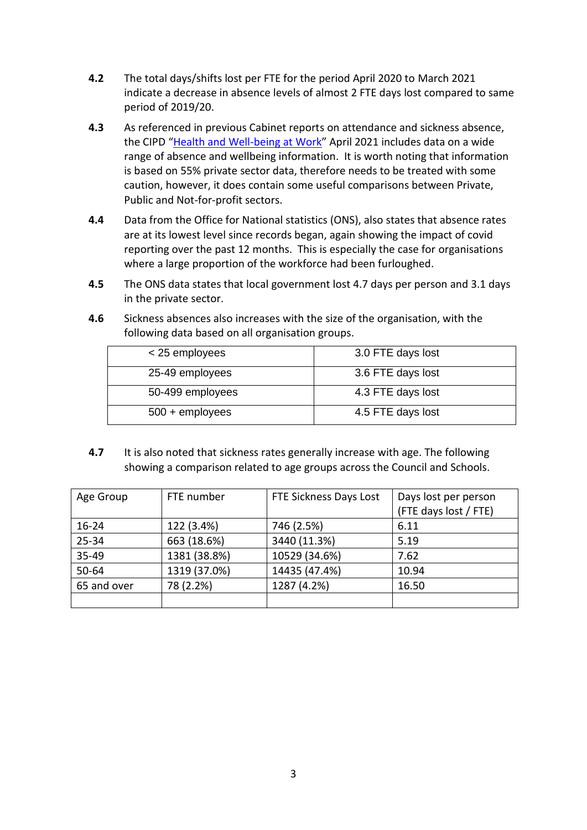- **4.2** The total days/shifts lost per FTE for the period April 2020 to March 2021 indicate a decrease in absence levels of almost 2 FTE days lost compared to same period of 2019/20.
- **4.3** As referenced in previous Cabinet reports on attendance and sickness absence, the CIPD "[Health and Well-being at Work](https://www.cipd.co.uk/Images/health-wellbeing-work-report-2021_tcm18-93541.pdf)" April 2021 includes data on a wide range of absence and wellbeing information. It is worth noting that information is based on 55% private sector data, therefore needs to be treated with some caution, however, it does contain some useful comparisons between Private, Public and Not-for-profit sectors.
- **4.4** Data from the Office for National statistics (ONS), also states that absence rates are at its lowest level since records began, again showing the impact of covid reporting over the past 12 months. This is especially the case for organisations where a large proportion of the workforce had been furloughed.
- **4.5** The ONS data states that local government lost 4.7 days per person and 3.1 days in the private sector.
- **4.6** Sickness absences also increases with the size of the organisation, with the following data based on all organisation groups.

| < 25 employees    | 3.0 FTE days lost |
|-------------------|-------------------|
| 25-49 employees   | 3.6 FTE days lost |
| 50-499 employees  | 4.3 FTE days lost |
| $500 +$ employees | 4.5 FTE days lost |

**4.7** It is also noted that sickness rates generally increase with age. The following showing a comparison related to age groups across the Council and Schools.

| Age Group   | FTE number   | FTE Sickness Days Lost | Days lost per person<br>(FTE days lost / FTE) |
|-------------|--------------|------------------------|-----------------------------------------------|
| $16 - 24$   | 122 (3.4%)   | 746 (2.5%)             | 6.11                                          |
| 25-34       | 663 (18.6%)  | 3440 (11.3%)           | 5.19                                          |
| 35-49       | 1381 (38.8%) | 10529 (34.6%)          | 7.62                                          |
| 50-64       | 1319 (37.0%) | 14435 (47.4%)          | 10.94                                         |
| 65 and over | 78 (2.2%)    | 1287 (4.2%)            | 16.50                                         |
|             |              |                        |                                               |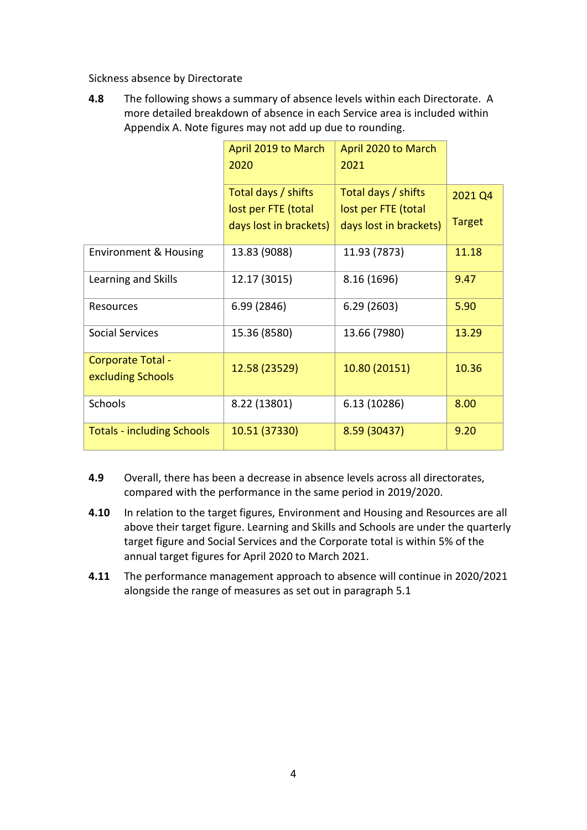Sickness absence by Directorate

**4.8** The following shows a summary of absence levels within each Directorate. A more detailed breakdown of absence in each Service area is included within Appendix A. Note figures may not add up due to rounding.

|                                   | April 2019 to March    | April 2020 to March    |               |
|-----------------------------------|------------------------|------------------------|---------------|
|                                   | 2020                   | 2021                   |               |
|                                   | Total days / shifts    | Total days / shifts    | 2021 Q4       |
|                                   | lost per FTE (total    | lost per FTE (total    |               |
|                                   | days lost in brackets) | days lost in brackets) | <b>Target</b> |
| <b>Environment &amp; Housing</b>  | 13.83 (9088)           | 11.93 (7873)           | 11.18         |
| Learning and Skills               | 12.17 (3015)           | 8.16 (1696)            | 9.47          |
| Resources                         | 6.99 (2846)            | 6.29(2603)             | 5.90          |
| <b>Social Services</b>            | 15.36 (8580)           | 13.66 (7980)           | 13.29         |
| Corporate Total -                 | 12.58 (23529)          | 10.80 (20151)          | 10.36         |
| excluding Schools                 |                        |                        |               |
| Schools                           | 8.22 (13801)           | 6.13 (10286)           | 8.00          |
| <b>Totals - including Schools</b> | 10.51 (37330)          | 8.59 (30437)           | 9.20          |

- **4.9** Overall, there has been a decrease in absence levels across all directorates, compared with the performance in the same period in 2019/2020.
- **4.10** In relation to the target figures, Environment and Housing and Resources are all above their target figure. Learning and Skills and Schools are under the quarterly target figure and Social Services and the Corporate total is within 5% of the annual target figures for April 2020 to March 2021.
- **4.11** The performance management approach to absence will continue in 2020/2021 alongside the range of measures as set out in paragraph 5.1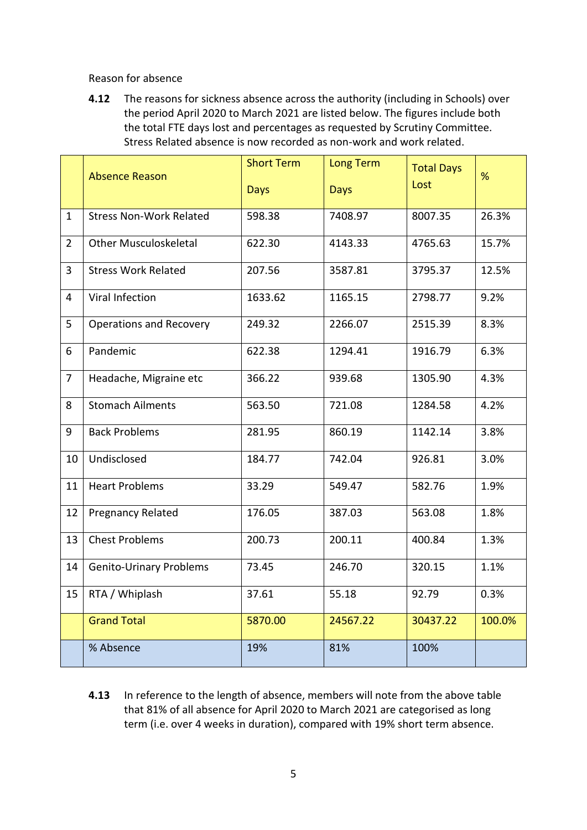#### Reason for absence

**4.12** The reasons for sickness absence across the authority (including in Schools) over the period April 2020 to March 2021 are listed below. The figures include both the total FTE days lost and percentages as requested by Scrutiny Committee. Stress Related absence is now recorded as non-work and work related.

|                | <b>Absence Reason</b>          | <b>Short Term</b><br><b>Days</b> | <b>Long Term</b><br><b>Days</b> | <b>Total Days</b><br>Lost | %      |
|----------------|--------------------------------|----------------------------------|---------------------------------|---------------------------|--------|
| $\mathbf{1}$   | <b>Stress Non-Work Related</b> | 598.38                           | 7408.97                         | 8007.35                   | 26.3%  |
| $\overline{2}$ | <b>Other Musculoskeletal</b>   | 622.30                           | 4143.33                         | 4765.63                   | 15.7%  |
| 3              | <b>Stress Work Related</b>     | 207.56                           | 3587.81                         | 3795.37                   | 12.5%  |
| 4              | Viral Infection                | 1633.62                          | 1165.15                         | 2798.77                   | 9.2%   |
| 5              | <b>Operations and Recovery</b> | 249.32                           | 2266.07                         | 2515.39                   | 8.3%   |
| 6              | Pandemic                       | 622.38                           | 1294.41                         | 1916.79                   | 6.3%   |
| $\overline{7}$ | Headache, Migraine etc         | 366.22                           | 939.68                          | 1305.90                   | 4.3%   |
| 8              | <b>Stomach Ailments</b>        | 563.50                           | 721.08                          | 1284.58                   | 4.2%   |
| 9              | <b>Back Problems</b>           | 281.95                           | 860.19                          | 1142.14                   | 3.8%   |
| 10             | Undisclosed                    | 184.77                           | 742.04                          | 926.81                    | 3.0%   |
| 11             | <b>Heart Problems</b>          | 33.29                            | 549.47                          | 582.76                    | 1.9%   |
| 12             | Pregnancy Related              | 176.05                           | 387.03                          | 563.08                    | 1.8%   |
| 13             | <b>Chest Problems</b>          | 200.73                           | 200.11                          | 400.84                    | 1.3%   |
| 14             | <b>Genito-Urinary Problems</b> | 73.45                            | 246.70                          | 320.15                    | 1.1%   |
| 15             | RTA / Whiplash                 | 37.61                            | 55.18                           | 92.79                     | 0.3%   |
|                | <b>Grand Total</b>             | 5870.00                          | 24567.22                        | 30437.22                  | 100.0% |
|                | % Absence                      | 19%                              | 81%                             | 100%                      |        |

**4.13** In reference to the length of absence, members will note from the above table that 81% of all absence for April 2020 to March 2021 are categorised as long term (i.e. over 4 weeks in duration), compared with 19% short term absence.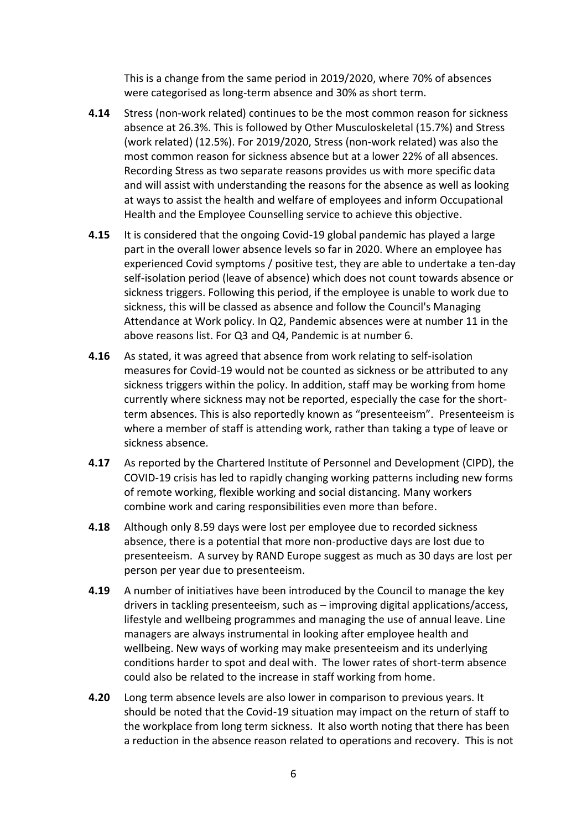This is a change from the same period in 2019/2020, where 70% of absences were categorised as long-term absence and 30% as short term.

- **4.14** Stress (non-work related) continues to be the most common reason for sickness absence at 26.3%. This is followed by Other Musculoskeletal (15.7%) and Stress (work related) (12.5%). For 2019/2020, Stress (non-work related) was also the most common reason for sickness absence but at a lower 22% of all absences. Recording Stress as two separate reasons provides us with more specific data and will assist with understanding the reasons for the absence as well as looking at ways to assist the health and welfare of employees and inform Occupational Health and the Employee Counselling service to achieve this objective.
- **4.15** It is considered that the ongoing Covid-19 global pandemic has played a large part in the overall lower absence levels so far in 2020. Where an employee has experienced Covid symptoms / positive test, they are able to undertake a ten-day self-isolation period (leave of absence) which does not count towards absence or sickness triggers. Following this period, if the employee is unable to work due to sickness, this will be classed as absence and follow the Council's Managing Attendance at Work policy. In Q2, Pandemic absences were at number 11 in the above reasons list. For Q3 and Q4, Pandemic is at number 6.
- **4.16** As stated, it was agreed that absence from work relating to self-isolation measures for Covid-19 would not be counted as sickness or be attributed to any sickness triggers within the policy. In addition, staff may be working from home currently where sickness may not be reported, especially the case for the shortterm absences. This is also reportedly known as "presenteeism". Presenteeism is where a member of staff is attending work, rather than taking a type of leave or sickness absence.
- **4.17** As reported by the Chartered Institute of Personnel and Development (CIPD), the COVID-19 crisis has led to rapidly changing working patterns including new forms of remote working, flexible working and social distancing. Many workers combine work and caring responsibilities even more than before.
- **4.18** Although only 8.59 days were lost per employee due to recorded sickness absence, there is a potential that more non-productive days are lost due to presenteeism. A survey by RAND Europe suggest as much as 30 days are lost per person per year due to presenteeism.
- **4.19** A number of initiatives have been introduced by the Council to manage the key drivers in tackling presenteeism, such as – improving digital applications/access, lifestyle and wellbeing programmes and managing the use of annual leave. Line managers are always instrumental in looking after employee health and wellbeing. New ways of working may make presenteeism and its underlying conditions harder to spot and deal with. The lower rates of short-term absence could also be related to the increase in staff working from home.
- **4.20** Long term absence levels are also lower in comparison to previous years. It should be noted that the Covid-19 situation may impact on the return of staff to the workplace from long term sickness. It also worth noting that there has been a reduction in the absence reason related to operations and recovery. This is not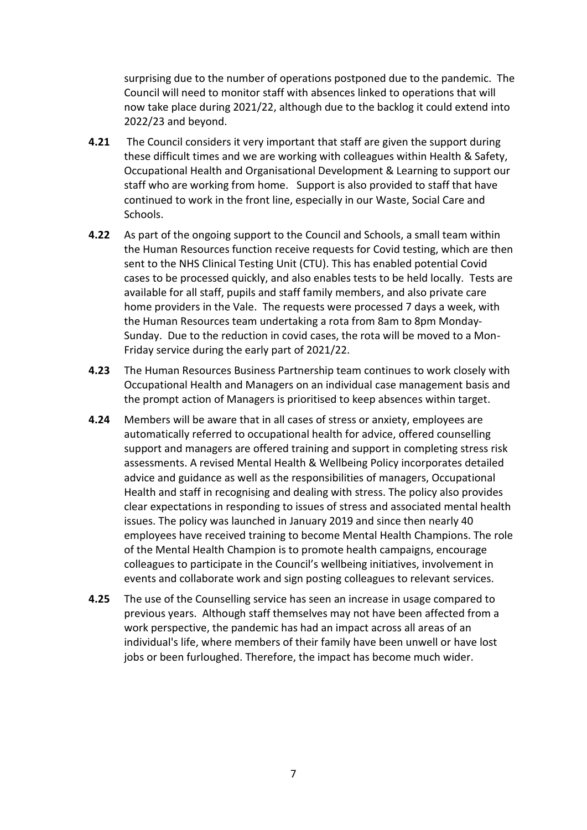surprising due to the number of operations postponed due to the pandemic. The Council will need to monitor staff with absences linked to operations that will now take place during 2021/22, although due to the backlog it could extend into 2022/23 and beyond.

- **4.21** The Council considers it very important that staff are given the support during these difficult times and we are working with colleagues within Health & Safety, Occupational Health and Organisational Development & Learning to support our staff who are working from home. Support is also provided to staff that have continued to work in the front line, especially in our Waste, Social Care and Schools.
- **4.22** As part of the ongoing support to the Council and Schools, a small team within the Human Resources function receive requests for Covid testing, which are then sent to the NHS Clinical Testing Unit (CTU). This has enabled potential Covid cases to be processed quickly, and also enables tests to be held locally. Tests are available for all staff, pupils and staff family members, and also private care home providers in the Vale. The requests were processed 7 days a week, with the Human Resources team undertaking a rota from 8am to 8pm Monday-Sunday. Due to the reduction in covid cases, the rota will be moved to a Mon-Friday service during the early part of 2021/22.
- **4.23** The Human Resources Business Partnership team continues to work closely with Occupational Health and Managers on an individual case management basis and the prompt action of Managers is prioritised to keep absences within target.
- **4.24** Members will be aware that in all cases of stress or anxiety, employees are automatically referred to occupational health for advice, offered counselling support and managers are offered training and support in completing stress risk assessments. A revised Mental Health & Wellbeing Policy incorporates detailed advice and guidance as well as the responsibilities of managers, Occupational Health and staff in recognising and dealing with stress. The policy also provides clear expectations in responding to issues of stress and associated mental health issues. The policy was launched in January 2019 and since then nearly 40 employees have received training to become Mental Health Champions. The role of the Mental Health Champion is to promote health campaigns, encourage colleagues to participate in the Council's wellbeing initiatives, involvement in events and collaborate work and sign posting colleagues to relevant services.
- **4.25** The use of the Counselling service has seen an increase in usage compared to previous years. Although staff themselves may not have been affected from a work perspective, the pandemic has had an impact across all areas of an individual's life, where members of their family have been unwell or have lost jobs or been furloughed. Therefore, the impact has become much wider.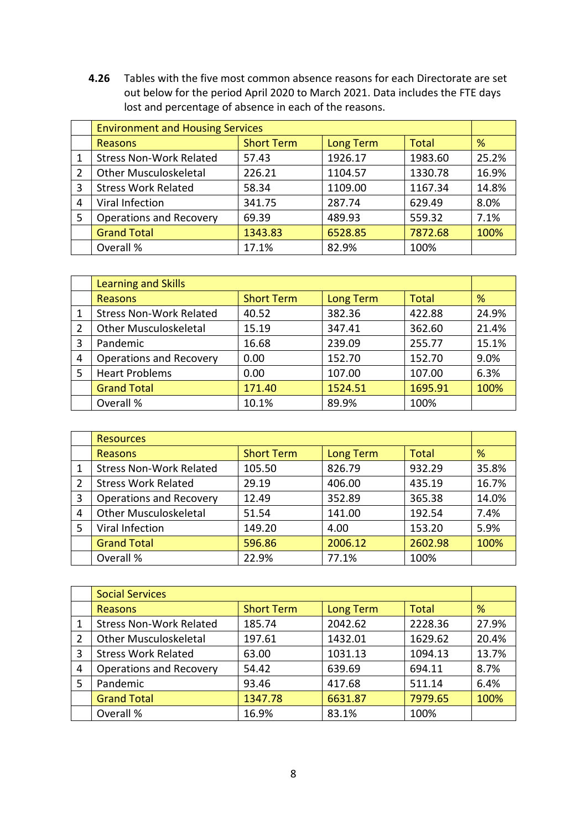**4.26** Tables with the five most common absence reasons for each Directorate are set out below for the period April 2020 to March 2021. Data includes the FTE days lost and percentage of absence in each of the reasons.

|   | <b>Environment and Housing Services</b> |                   |                  |              |       |
|---|-----------------------------------------|-------------------|------------------|--------------|-------|
|   | <b>Reasons</b>                          | <b>Short Term</b> | <b>Long Term</b> | <b>Total</b> | %     |
| 1 | <b>Stress Non-Work Related</b>          | 57.43             | 1926.17          | 1983.60      | 25.2% |
| 2 | <b>Other Musculoskeletal</b>            | 226.21            | 1104.57          | 1330.78      | 16.9% |
| 3 | <b>Stress Work Related</b>              | 58.34             | 1109.00          | 1167.34      | 14.8% |
| 4 | Viral Infection                         | 341.75            | 287.74           | 629.49       | 8.0%  |
| 5 | <b>Operations and Recovery</b>          | 69.39             | 489.93           | 559.32       | 7.1%  |
|   | <b>Grand Total</b>                      | 1343.83           | 6528.85          | 7872.68      | 100%  |
|   | Overall %                               | 17.1%             | 82.9%            | 100%         |       |

|   | <b>Learning and Skills</b>     |                   |                  |              |       |
|---|--------------------------------|-------------------|------------------|--------------|-------|
|   | Reasons                        | <b>Short Term</b> | <b>Long Term</b> | <b>Total</b> | %     |
|   | <b>Stress Non-Work Related</b> | 40.52             | 382.36           | 422.88       | 24.9% |
| 2 | <b>Other Musculoskeletal</b>   | 15.19             | 347.41           | 362.60       | 21.4% |
| 3 | Pandemic                       | 16.68             | 239.09           | 255.77       | 15.1% |
| 4 | Operations and Recovery        | 0.00              | 152.70           | 152.70       | 9.0%  |
| 5 | <b>Heart Problems</b>          | 0.00              | 107.00           | 107.00       | 6.3%  |
|   | <b>Grand Total</b>             | 171.40            | 1524.51          | 1695.91      | 100%  |
|   | Overall %                      | 10.1%             | 89.9%            | 100%         |       |

|                | <b>Resources</b>               |                   |                  |              |       |
|----------------|--------------------------------|-------------------|------------------|--------------|-------|
|                | Reasons                        | <b>Short Term</b> | <b>Long Term</b> | <b>Total</b> | %     |
|                | <b>Stress Non-Work Related</b> | 105.50            | 826.79           | 932.29       | 35.8% |
| $\overline{2}$ | <b>Stress Work Related</b>     | 29.19             | 406.00           | 435.19       | 16.7% |
| 3              | <b>Operations and Recovery</b> | 12.49             | 352.89           | 365.38       | 14.0% |
| 4              | <b>Other Musculoskeletal</b>   | 51.54             | 141.00           | 192.54       | 7.4%  |
| 5              | Viral Infection                | 149.20            | 4.00             | 153.20       | 5.9%  |
|                | <b>Grand Total</b>             | 596.86            | 2006.12          | 2602.98      | 100%  |
|                | Overall %                      | 22.9%             | 77.1%            | 100%         |       |

|   | <b>Social Services</b>         |                   |                  |              |       |
|---|--------------------------------|-------------------|------------------|--------------|-------|
|   | Reasons                        | <b>Short Term</b> | <b>Long Term</b> | <b>Total</b> | %     |
| 1 | <b>Stress Non-Work Related</b> | 185.74            | 2042.62          | 2228.36      | 27.9% |
| 2 | <b>Other Musculoskeletal</b>   | 197.61            | 1432.01          | 1629.62      | 20.4% |
| 3 | <b>Stress Work Related</b>     | 63.00             | 1031.13          | 1094.13      | 13.7% |
| 4 | <b>Operations and Recovery</b> | 54.42             | 639.69           | 694.11       | 8.7%  |
| 5 | Pandemic                       | 93.46             | 417.68           | 511.14       | 6.4%  |
|   | <b>Grand Total</b>             | 1347.78           | 6631.87          | 7979.65      | 100%  |
|   | Overall %                      | 16.9%             | 83.1%            | 100%         |       |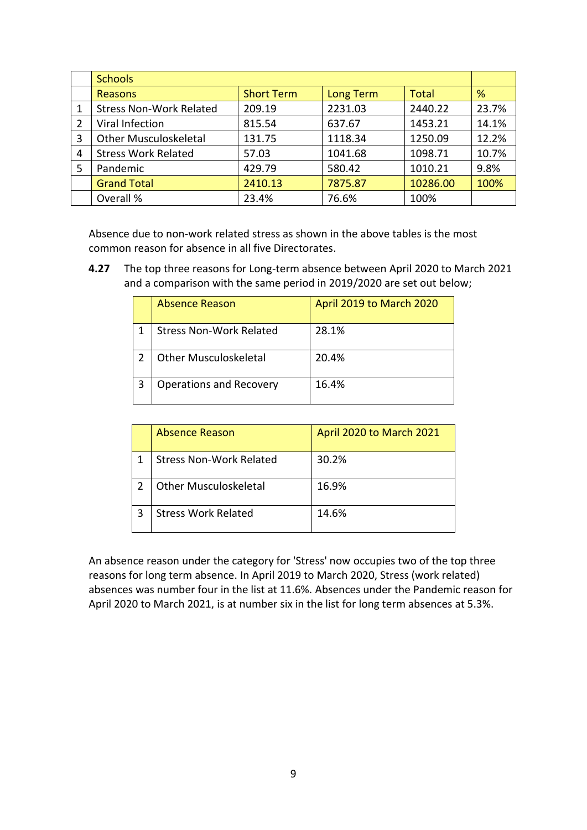|                | <b>Schools</b>                 |                   |                  |              |       |
|----------------|--------------------------------|-------------------|------------------|--------------|-------|
|                | Reasons                        | <b>Short Term</b> | <b>Long Term</b> | <b>Total</b> | %     |
|                | <b>Stress Non-Work Related</b> | 209.19            | 2231.03          | 2440.22      | 23.7% |
| $\overline{2}$ | Viral Infection                | 815.54            | 637.67           | 1453.21      | 14.1% |
| 3              | <b>Other Musculoskeletal</b>   | 131.75            | 1118.34          | 1250.09      | 12.2% |
| 4              | <b>Stress Work Related</b>     | 57.03             | 1041.68          | 1098.71      | 10.7% |
| 5              | Pandemic                       | 429.79            | 580.42           | 1010.21      | 9.8%  |
|                | <b>Grand Total</b>             | 2410.13           | 7875.87          | 10286.00     | 100%  |
|                | Overall %                      | 23.4%             | 76.6%            | 100%         |       |

Absence due to non-work related stress as shown in the above tables is the most common reason for absence in all five Directorates.

**4.27** The top three reasons for Long-term absence between April 2020 to March 2021 and a comparison with the same period in 2019/2020 are set out below;

|   | Absence Reason                 | April 2019 to March 2020 |
|---|--------------------------------|--------------------------|
|   | <b>Stress Non-Work Related</b> | 28.1%                    |
|   | <b>Other Musculoskeletal</b>   | 20.4%                    |
| 3 | Operations and Recovery        | 16.4%                    |

| <b>Absence Reason</b>          | April 2020 to March 2021 |
|--------------------------------|--------------------------|
| <b>Stress Non-Work Related</b> | 30.2%                    |
| <b>Other Musculoskeletal</b>   | 16.9%                    |
| <b>Stress Work Related</b>     | 14.6%                    |

An absence reason under the category for 'Stress' now occupies two of the top three reasons for long term absence. In April 2019 to March 2020, Stress (work related) absences was number four in the list at 11.6%. Absences under the Pandemic reason for April 2020 to March 2021, is at number six in the list for long term absences at 5.3%.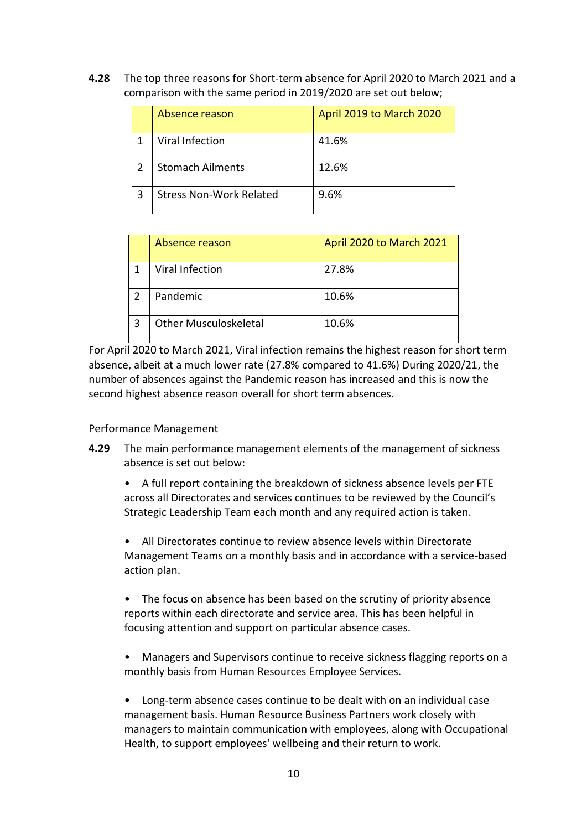**4.28** The top three reasons for Short-term absence for April 2020 to March 2021 and a comparison with the same period in 2019/2020 are set out below;

| Absence reason                 | April 2019 to March 2020 |
|--------------------------------|--------------------------|
| Viral Infection                | 41.6%                    |
| <b>Stomach Ailments</b>        | 12.6%                    |
| <b>Stress Non-Work Related</b> | 9.6%                     |

| Absence reason               | April 2020 to March 2021 |
|------------------------------|--------------------------|
| Viral Infection              | 27.8%                    |
| Pandemic                     | 10.6%                    |
| <b>Other Musculoskeletal</b> | 10.6%                    |

For April 2020 to March 2021, Viral infection remains the highest reason for short term absence, albeit at a much lower rate (27.8% compared to 41.6%) During 2020/21, the number of absences against the Pandemic reason has increased and this is now the second highest absence reason overall for short term absences.

#### Performance Management

**4.29** The main performance management elements of the management of sickness absence is set out below:

• A full report containing the breakdown of sickness absence levels per FTE across all Directorates and services continues to be reviewed by the Council's Strategic Leadership Team each month and any required action is taken.

• All Directorates continue to review absence levels within Directorate Management Teams on a monthly basis and in accordance with a service-based action plan.

• The focus on absence has been based on the scrutiny of priority absence reports within each directorate and service area. This has been helpful in focusing attention and support on particular absence cases.

• Managers and Supervisors continue to receive sickness flagging reports on a monthly basis from Human Resources Employee Services.

• Long-term absence cases continue to be dealt with on an individual case management basis. Human Resource Business Partners work closely with managers to maintain communication with employees, along with Occupational Health, to support employees' wellbeing and their return to work.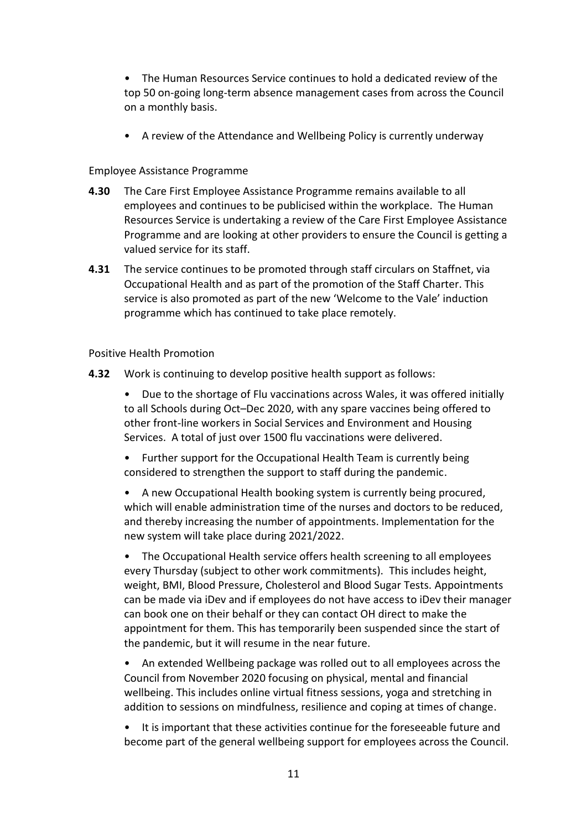- The Human Resources Service continues to hold a dedicated review of the top 50 on-going long-term absence management cases from across the Council on a monthly basis.
- A review of the Attendance and Wellbeing Policy is currently underway

#### Employee Assistance Programme

- **4.30** The Care First Employee Assistance Programme remains available to all employees and continues to be publicised within the workplace. The Human Resources Service is undertaking a review of the Care First Employee Assistance Programme and are looking at other providers to ensure the Council is getting a valued service for its staff.
- **4.31** The service continues to be promoted through staff circulars on Staffnet, via Occupational Health and as part of the promotion of the Staff Charter. This service is also promoted as part of the new 'Welcome to the Vale' induction programme which has continued to take place remotely.

#### Positive Health Promotion

- **4.32** Work is continuing to develop positive health support as follows:
	- Due to the shortage of Flu vaccinations across Wales, it was offered initially to all Schools during Oct–Dec 2020, with any spare vaccines being offered to other front-line workers in Social Services and Environment and Housing Services. A total of just over 1500 flu vaccinations were delivered.
	- Further support for the Occupational Health Team is currently being considered to strengthen the support to staff during the pandemic.
	- A new Occupational Health booking system is currently being procured, which will enable administration time of the nurses and doctors to be reduced, and thereby increasing the number of appointments. Implementation for the new system will take place during 2021/2022.
	- The Occupational Health service offers health screening to all employees every Thursday (subject to other work commitments). This includes height, weight, BMI, Blood Pressure, Cholesterol and Blood Sugar Tests. Appointments can be made via iDev and if employees do not have access to iDev their manager can book one on their behalf or they can contact OH direct to make the appointment for them. This has temporarily been suspended since the start of the pandemic, but it will resume in the near future.
	- An extended Wellbeing package was rolled out to all employees across the Council from November 2020 focusing on physical, mental and financial wellbeing. This includes online virtual fitness sessions, yoga and stretching in addition to sessions on mindfulness, resilience and coping at times of change.
	- It is important that these activities continue for the foreseeable future and become part of the general wellbeing support for employees across the Council.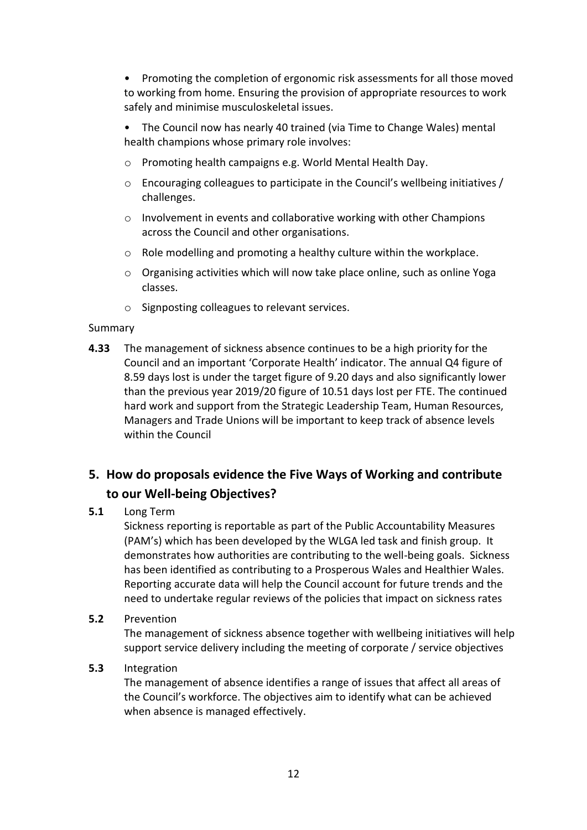• Promoting the completion of ergonomic risk assessments for all those moved to working from home. Ensuring the provision of appropriate resources to work safely and minimise musculoskeletal issues.

• The Council now has nearly 40 trained (via Time to Change Wales) mental health champions whose primary role involves:

- o Promoting health campaigns e.g. World Mental Health Day.
- $\circ$  Encouraging colleagues to participate in the Council's wellbeing initiatives / challenges.
- $\circ$  Involvement in events and collaborative working with other Champions across the Council and other organisations.
- o Role modelling and promoting a healthy culture within the workplace.
- $\circ$  Organising activities which will now take place online, such as online Yoga classes.
- o Signposting colleagues to relevant services.

#### Summary

**4.33** The management of sickness absence continues to be a high priority for the Council and an important 'Corporate Health' indicator. The annual Q4 figure of 8.59 days lost is under the target figure of 9.20 days and also significantly lower than the previous year 2019/20 figure of 10.51 days lost per FTE. The continued hard work and support from the Strategic Leadership Team, Human Resources, Managers and Trade Unions will be important to keep track of absence levels within the Council

# **5. How do proposals evidence the Five Ways of Working and contribute to our Well-being Objectives?**

## **5.1** Long Term

Sickness reporting is reportable as part of the Public Accountability Measures (PAM's) which has been developed by the WLGA led task and finish group. It demonstrates how authorities are contributing to the well-being goals. Sickness has been identified as contributing to a Prosperous Wales and Healthier Wales. Reporting accurate data will help the Council account for future trends and the need to undertake regular reviews of the policies that impact on sickness rates

## **5.2** Prevention

The management of sickness absence together with wellbeing initiatives will help support service delivery including the meeting of corporate / service objectives

## **5.3** Integration

The management of absence identifies a range of issues that affect all areas of the Council's workforce. The objectives aim to identify what can be achieved when absence is managed effectively.